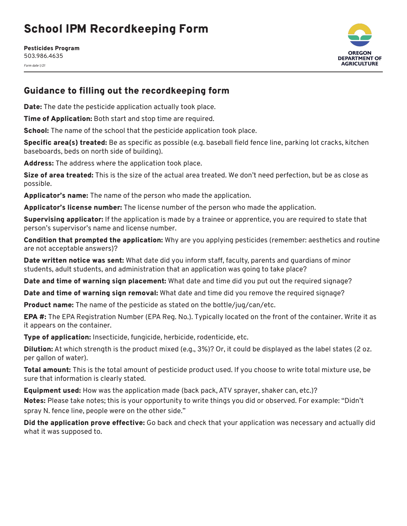## School IPM Recordkeeping Form

Pesticides Program 503.986.4635 *Form date 1/21*



## Guidance to filling out the recordkeeping form

**Date:** The date the pesticide application actually took place.

Time of Application: Both start and stop time are required.

School: The name of the school that the pesticide application took place.

Specific area(s) treated: Be as specific as possible (e.g. baseball field fence line, parking lot cracks, kitchen baseboards, beds on north side of building).

Address: The address where the application took place.

Size of area treated: This is the size of the actual area treated. We don't need perfection, but be as close as possible.

Applicator's name: The name of the person who made the application.

Applicator's license number: The license number of the person who made the application.

Supervising applicator: If the application is made by a trainee or apprentice, you are required to state that person's supervisor's name and license number.

**Condition that prompted the application:** Why are you applying pesticides (remember: aesthetics and routine are not acceptable answers)?

**Date written notice was sent:** What date did you inform staff, faculty, parents and quardians of minor students, adult students, and administration that an application was going to take place?

Date and time of warning sign placement: What date and time did you put out the required signage?

Date and time of warning sign removal: What date and time did you remove the required signage?

Product name: The name of the pesticide as stated on the bottle/jug/can/etc.

EPA #: The EPA Registration Number (EPA Reg. No.). Typically located on the front of the container. Write it as it appears on the container.

Type of application: Insecticide, fungicide, herbicide, rodenticide, etc.

Dilution: At which strength is the product mixed (e.g., 3%)? Or, it could be displayed as the label states (2 oz. per gallon of water).

Total amount: This is the total amount of pesticide product used. If you choose to write total mixture use, be sure that information is clearly stated.

Equipment used: How was the application made (back pack, ATV sprayer, shaker can, etc.)?

Notes: Please take notes; this is your opportunity to write things you did or observed. For example: "Didn't spray N. fence line, people were on the other side."

Did the application prove effective: Go back and check that your application was necessary and actually did what it was supposed to.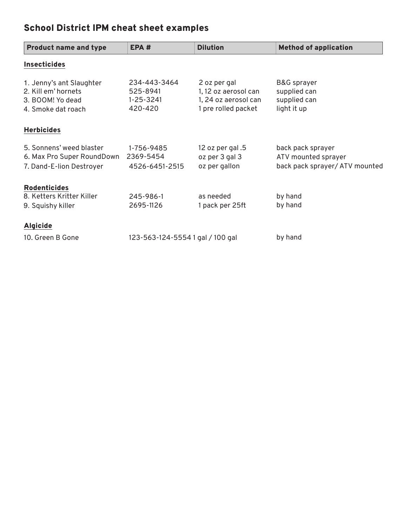## School District IPM cheat sheet examples

| <b>Product name and type</b>                                                              | EPA#                                             | <b>Dilution</b>                                                                     | <b>Method of application</b>                                               |
|-------------------------------------------------------------------------------------------|--------------------------------------------------|-------------------------------------------------------------------------------------|----------------------------------------------------------------------------|
| <b>Insecticides</b>                                                                       |                                                  |                                                                                     |                                                                            |
| 1. Jenny's ant Slaughter<br>2. Kill em' hornets<br>3. BOOM! Yo dead<br>4. Smoke dat roach | 234-443-3464<br>525-8941<br>1-25-3241<br>420-420 | 2 oz per gal<br>1, 12 oz aerosol can<br>1, 24 oz aerosol can<br>1 pre rolled packet | <b>B&amp;G</b> sprayer<br>supplied can<br>supplied can<br>light it up      |
| <b>Herbicides</b>                                                                         |                                                  |                                                                                     |                                                                            |
| 5. Sonnens' weed blaster<br>6. Max Pro Super RoundDown<br>7. Dand-E-lion Destroyer        | 1-756-9485<br>2369-5454<br>4526-6451-2515        | 12 oz per gal .5<br>oz per 3 gal 3<br>oz per gallon                                 | back pack sprayer<br>ATV mounted sprayer<br>back pack sprayer/ ATV mounted |
| <b>Rodenticides</b><br>8. Ketters Kritter Killer<br>9. Squishy killer                     | 245-986-1<br>2695-1126                           | as needed<br>1 pack per 25ft                                                        | by hand<br>by hand                                                         |
| <b>Algicide</b>                                                                           |                                                  |                                                                                     |                                                                            |
| 10. Green B Gone                                                                          | 123-563-124-55541 gal / 100 gal                  |                                                                                     | by hand                                                                    |